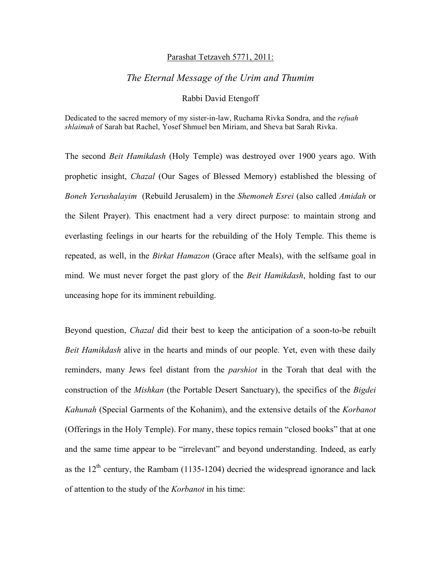## Parashat Tetzaveh 5771, 2011:

## *The Eternal Message of the Urim and Thumim*

## Rabbi David Etengoff

Dedicated to the sacred memory of my sister-in-law, Ruchama Rivka Sondra, and the *refuah shlaimah* of Sarah bat Rachel, Yosef Shmuel ben Miriam, and Sheva bat Sarah Rivka.

The second *Beit Hamikdash* (Holy Temple) was destroyed over 1900 years ago. With prophetic insight, *Chazal* (Our Sages of Blessed Memory) established the blessing of *Boneh Yerushalayim* (Rebuild Jerusalem) in the *Shemoneh Esrei* (also called *Amidah* or the Silent Prayer). This enactment had a very direct purpose: to maintain strong and everlasting feelings in our hearts for the rebuilding of the Holy Temple. This theme is repeated, as well, in the *Birkat Hamazon* (Grace after Meals), with the selfsame goal in mind. We must never forget the past glory of the *Beit Hamikdash*, holding fast to our unceasing hope for its imminent rebuilding.

Beyond question, *Chazal* did their best to keep the anticipation of a soon-to-be rebuilt *Beit Hamikdash* alive in the hearts and minds of our people. Yet, even with these daily reminders, many Jews feel distant from the *parshiot* in the Torah that deal with the construction of the *Mishkan* (the Portable Desert Sanctuary), the specifics of the *Bigdei Kahunah* (Special Garments of the Kohanim), and the extensive details of the *Korbanot*  (Offerings in the Holy Temple). For many, these topics remain "closed books" that at one and the same time appear to be "irrelevant" and beyond understanding. Indeed, as early as the  $12<sup>th</sup>$  century, the Rambam (1135-1204) decried the widespread ignorance and lack of attention to the study of the *Korbanot* in his time: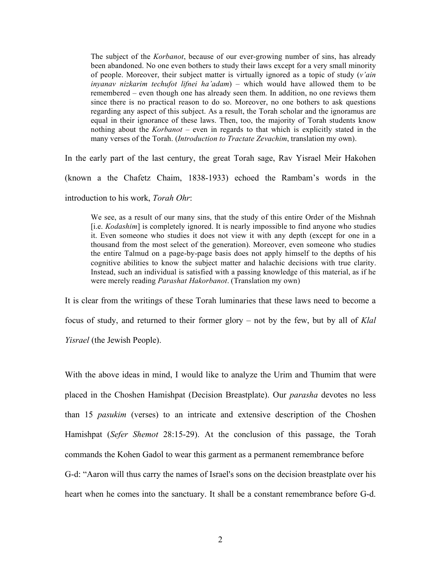The subject of the *Korbanot*, because of our ever-growing number of sins, has already been abandoned. No one even bothers to study their laws except for a very small minority of people. Moreover, their subject matter is virtually ignored as a topic of study (*v'ain inyanav nizkarim techufot lifnei ha'adam*) – which would have allowed them to be remembered – even though one has already seen them. In addition, no one reviews them since there is no practical reason to do so. Moreover, no one bothers to ask questions regarding any aspect of this subject. As a result, the Torah scholar and the ignoramus are equal in their ignorance of these laws. Then, too, the majority of Torah students know nothing about the *Korbanot* – even in regards to that which is explicitly stated in the many verses of the Torah. (*Introduction to Tractate Zevachim*, translation my own).

In the early part of the last century, the great Torah sage, Rav Yisrael Meir Hakohen (known a the Chafetz Chaim, 1838-1933) echoed the Rambam's words in the introduction to his work, *Torah Ohr*:

We see, as a result of our many sins, that the study of this entire Order of the Mishnah [i.e. *Kodashim*] is completely ignored. It is nearly impossible to find anyone who studies it. Even someone who studies it does not view it with any depth (except for one in a thousand from the most select of the generation). Moreover, even someone who studies the entire Talmud on a page-by-page basis does not apply himself to the depths of his cognitive abilities to know the subject matter and halachic decisions with true clarity. Instead, such an individual is satisfied with a passing knowledge of this material, as if he were merely reading *Parashat Hakorbanot*. (Translation my own)

It is clear from the writings of these Torah luminaries that these laws need to become a focus of study, and returned to their former glory – not by the few, but by all of *Klal Yisrael* (the Jewish People).

With the above ideas in mind, I would like to analyze the Urim and Thumim that were placed in the Choshen Hamishpat (Decision Breastplate). Our *parasha* devotes no less than 15 *pasukim* (verses) to an intricate and extensive description of the Choshen Hamishpat (*Sefer Shemot* 28:15-29). At the conclusion of this passage, the Torah commands the Kohen Gadol to wear this garment as a permanent remembrance before G-d: "Aaron will thus carry the names of Israel's sons on the decision breastplate over his heart when he comes into the sanctuary. It shall be a constant remembrance before G-d.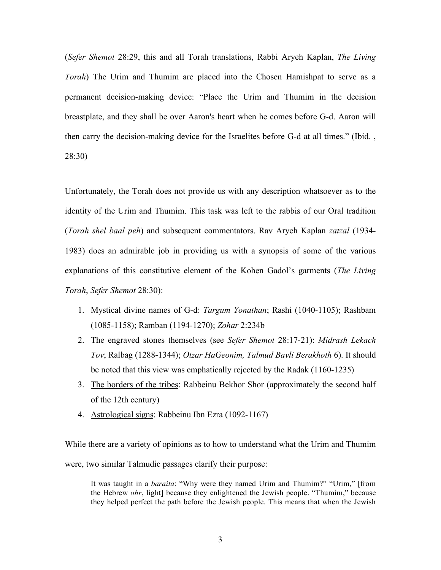(*Sefer Shemot* 28:29, this and all Torah translations, Rabbi Aryeh Kaplan, *The Living Torah*) The Urim and Thumim are placed into the Chosen Hamishpat to serve as a permanent decision-making device: "Place the Urim and Thumim in the decision breastplate, and they shall be over Aaron's heart when he comes before G-d. Aaron will then carry the decision-making device for the Israelites before G-d at all times." (Ibid. , 28:30)

Unfortunately, the Torah does not provide us with any description whatsoever as to the identity of the Urim and Thumim. This task was left to the rabbis of our Oral tradition (*Torah shel baal peh*) and subsequent commentators. Rav Aryeh Kaplan *zatzal* (1934- 1983) does an admirable job in providing us with a synopsis of some of the various explanations of this constitutive element of the Kohen Gadol's garments (*The Living Torah*, *Sefer Shemot* 28:30):

- 1. Mystical divine names of G-d: *Targum Yonathan*; Rashi (1040-1105); Rashbam (1085-1158); Ramban (1194-1270); *Zohar* 2:234b
- 2. The engraved stones themselves (see *Sefer Shemot* 28:17-21): *Midrash Lekach Tov*; Ralbag (1288-1344); *Otzar HaGeonim, Talmud Bavli Berakhoth* 6). It should be noted that this view was emphatically rejected by the Radak (1160-1235)
- 3. The borders of the tribes: Rabbeinu Bekhor Shor (approximately the second half of the 12th century)
- 4. Astrological signs: Rabbeinu Ibn Ezra (1092-1167)

While there are a variety of opinions as to how to understand what the Urim and Thumim were, two similar Talmudic passages clarify their purpose:

It was taught in a *baraita*: "Why were they named Urim and Thumim?" "Urim," [from the Hebrew *ohr*, light] because they enlightened the Jewish people. "Thumim," because they helped perfect the path before the Jewish people. This means that when the Jewish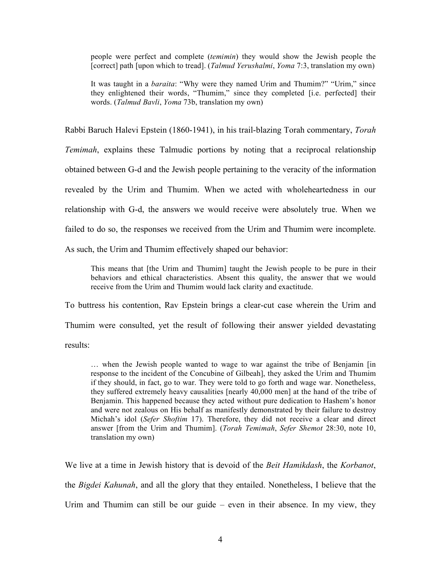people were perfect and complete (*temimin*) they would show the Jewish people the [correct] path [upon which to tread]. (*Talmud Yerushalmi*, *Yoma* 7:3, translation my own)

It was taught in a *baraita*: "Why were they named Urim and Thumim?" "Urim," since they enlightened their words, "Thumim," since they completed [i.e. perfected] their words. (*Talmud Bavli*, *Yoma* 73b, translation my own)

Rabbi Baruch Halevi Epstein (1860-1941), in his trail-blazing Torah commentary, *Torah* 

*Temimah*, explains these Talmudic portions by noting that a reciprocal relationship

obtained between G-d and the Jewish people pertaining to the veracity of the information

revealed by the Urim and Thumim. When we acted with wholeheartedness in our

relationship with G-d, the answers we would receive were absolutely true. When we

failed to do so, the responses we received from the Urim and Thumim were incomplete.

As such, the Urim and Thumim effectively shaped our behavior:

This means that [the Urim and Thumim] taught the Jewish people to be pure in their behaviors and ethical characteristics. Absent this quality, the answer that we would receive from the Urim and Thumim would lack clarity and exactitude.

To buttress his contention, Rav Epstein brings a clear-cut case wherein the Urim and

Thumim were consulted, yet the result of following their answer yielded devastating

results:

… when the Jewish people wanted to wage to war against the tribe of Benjamin [in response to the incident of the Concubine of Gilbeah], they asked the Urim and Thumim if they should, in fact, go to war. They were told to go forth and wage war. Nonetheless, they suffered extremely heavy causalities [nearly 40,000 men] at the hand of the tribe of Benjamin. This happened because they acted without pure dedication to Hashem's honor and were not zealous on His behalf as manifestly demonstrated by their failure to destroy Michah's idol (*Sefer Shoftim* 17). Therefore, they did not receive a clear and direct answer [from the Urim and Thumim]. (*Torah Temimah*, *Sefer Shemot* 28:30, note 10, translation my own)

We live at a time in Jewish history that is devoid of the *Beit Hamikdash*, the *Korbanot*, the *Bigdei Kahunah*, and all the glory that they entailed. Nonetheless, I believe that the Urim and Thumim can still be our guide – even in their absence. In my view, they